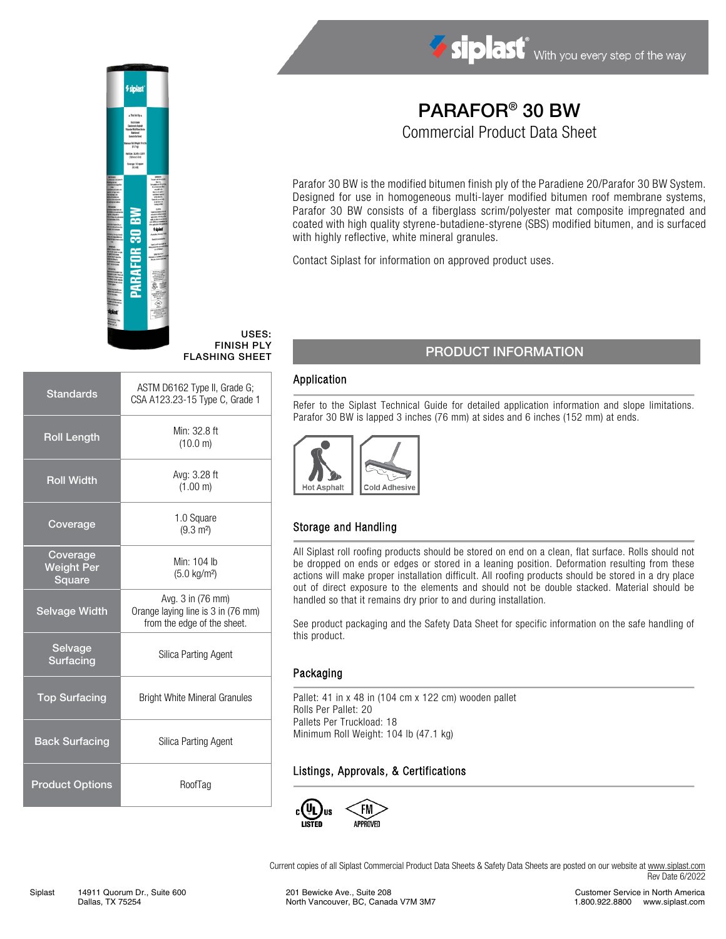



Standards ASTM D6162 Type II, Grade G;

Roll Length Min:  $32.8 \text{ ft}$ 

CSA A123.23-15 Type C, Grade 1

(10.0 m)

Parafor 30 BW is the modified bitumen finish ply of the Paradiene 20/Parafor 30 BW System. Designed for use in homogeneous multi-layer modified bitumen roof membrane systems, Parafor 30 BW consists of a fiberglass scrim/polyester mat composite impregnated and coated with high quality styrene-butadiene-styrene (SBS) modified bitumen, and is surfaced with highly reflective, white mineral granules.

PARAFOR® 30 BW Commercial Product Data Sheet

Contact Siplast for information on approved product uses.

## PRODUCT INFORMATION

#### Application

USES: FINISH PLY FLASHING SHEET

> Refer to the Siplast Technical Guide for detailed application information and slope limitations. Parafor 30 BW is lapped 3 inches (76 mm) at sides and 6 inches (152 mm) at ends.



### Storage and Handling

All Siplast roll roofing products should be stored on end on a clean, flat surface. Rolls should not be dropped on ends or edges or stored in a leaning position. Deformation resulting from these actions will make proper installation difficult. All roofing products should be stored in a dry place out of direct exposure to the elements and should not be double stacked. Material should be handled so that it remains dry prior to and during installation.

See product packaging and the Safety Data Sheet for specific information on the safe handling of this product.

#### Packaging

Pallet: 41 in x 48 in (104 cm x 122 cm) wooden pallet Rolls Per Pallet: 20 Pallets Per Truckload: 18 Minimum Roll Weight: 104 lb (47.1 kg)

### Listings, Approvals, & Certifications



Current copies of all Siplast Commercial Product Data Sheets & Safety Data Sheets are posted on our website at [www.siplast.com](http://www.siplast.com/) Rev Date 6/2022

Roll Width Avg: 3.28 ft (1.00 m) Coverage 1.0 Square  $(9.3 \text{ m}^2)$ Coverage Weight Per **Square** Min: 104 lb (5.0 kg/m²) Selvage Width Avg. 3 in (76 mm) Orange laying line is 3 in (76 mm) from the edge of the sheet. **Selvage** Surfacing Silica Parting Agent Top Surfacing Bright White Mineral Granules Back Surfacing Silica Parting Agent Product Options RoofTag